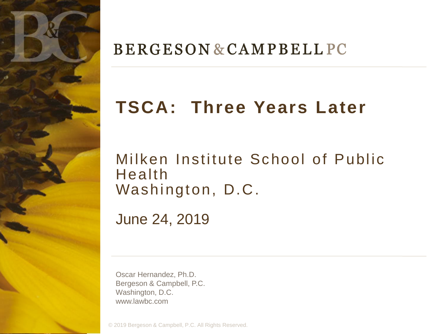

#### **BERGESON & CAMPBELL PC**

# **TSCA: Three Years Later**

#### Milken Institute School of Public Health Washington, D.C.

June 24, 2019

Oscar Hernandez, Ph.D. Bergeson & Campbell, P.C. Washington, D.C. www.lawbc.com

© 2019 Bergeson & Campbell, P.C. All Rights Reserved.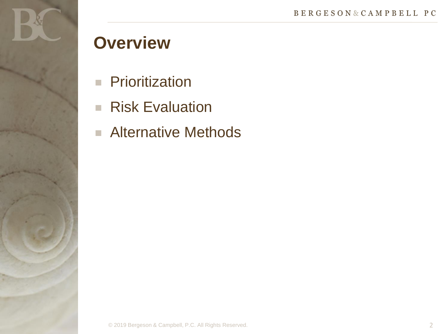

### **Overview**

- **Prioritization**
- Risk Evaluation
- Alternative Methods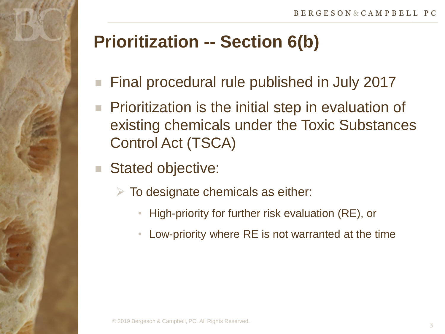# **Prioritization -- Section 6(b)**

- Final procedural rule published in July 2017
- **Prioritization is the initial step in evaluation of** existing chemicals under the Toxic Substances Control Act (TSCA)
- Stated objective:
	- $\triangleright$  To designate chemicals as either:
		- High-priority for further risk evaluation (RE), or
		- Low-priority where RE is not warranted at the time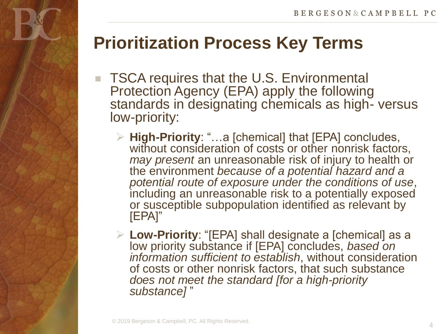### **Prioritization Process Key Terms**

- TSCA requires that the U.S. Environmental Protection Agency (EPA) apply the following standards in designating chemicals as high- versus low-priority:
	- **High-Priority**: "…a [chemical] that [EPA] concludes, without consideration of costs or other nonrisk factors, *may present* an unreasonable risk of injury to health or the environment *because of a potential hazard and a potential route of exposure under the conditions of use*, including an unreasonable risk to a potentially exposed or susceptible subpopulation identified as relevant by [EPA]"
	- **Low-Priority**: "[EPA] shall designate a [chemical] as a low priority substance if [EPA] concludes, *based on information sufficient to establish*, without consideration of costs or other nonrisk factors, that such substance *does not meet the standard [for a high-priority substance]* "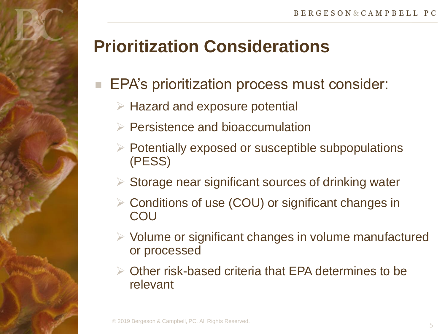# **Prioritization Considerations**

#### EPA's prioritization process must consider:

- $\triangleright$  Hazard and exposure potential
- $\triangleright$  Persistence and bioaccumulation
- $\triangleright$  Potentially exposed or susceptible subpopulations (PESS)
- $\triangleright$  Storage near significant sources of drinking water
- Conditions of use (COU) or significant changes in **COU**
- $\triangleright$  Volume or significant changes in volume manufactured or processed
- Other risk-based criteria that EPA determines to be relevant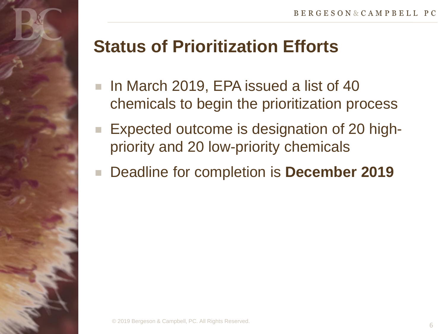

- In March 2019, EPA issued a list of 40 chemicals to begin the prioritization process
- Expected outcome is designation of 20 highpriority and 20 low-priority chemicals
- Deadline for completion is **December 2019**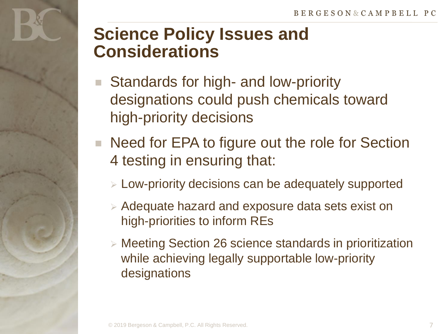### **Science Policy Issues and Considerations**

- Standards for high- and low-priority designations could push chemicals toward high-priority decisions
- Need for EPA to figure out the role for Section 4 testing in ensuring that:
	- Low-priority decisions can be adequately supported
	- $\triangleright$  Adequate hazard and exposure data sets exist on high-priorities to inform REs
	- Meeting Section 26 science standards in prioritization while achieving legally supportable low-priority designations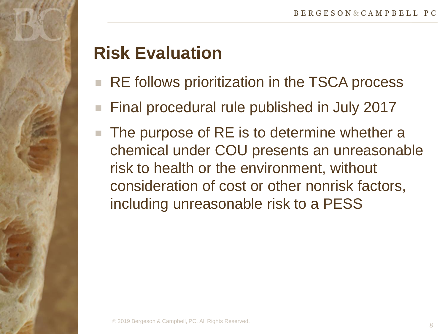## **Risk Evaluation**

- RE follows prioritization in the TSCA process
- Final procedural rule published in July 2017
- The purpose of RE is to determine whether a chemical under COU presents an unreasonable risk to health or the environment, without consideration of cost or other nonrisk factors, including unreasonable risk to a PESS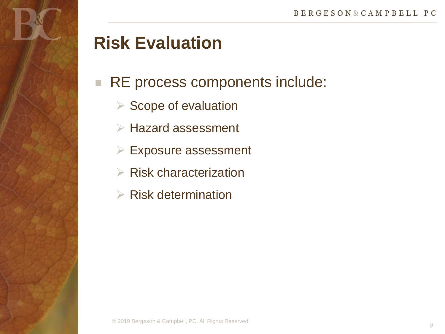

#### RE process components include:

- $\triangleright$  Scope of evaluation
- $\triangleright$  Hazard assessment
- $\triangleright$  Exposure assessment
- $\triangleright$  Risk characterization
- $\triangleright$  Risk determination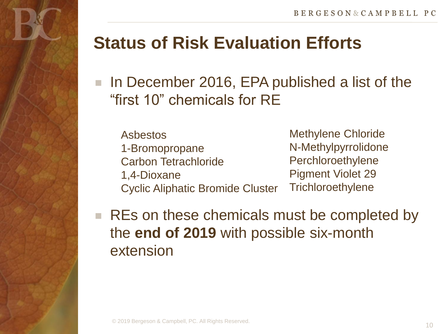### **Status of Risk Evaluation Efforts**

■ In December 2016, EPA published a list of the "first 10" chemicals for RE

Asbestos 1-Bromopropane Carbon Tetrachloride 1,4-Dioxane Cyclic Aliphatic Bromide Cluster

Methylene Chloride N-Methylpyrrolidone Perchloroethylene Pigment Violet 29 **Trichloroethylene** 

■ REs on these chemicals must be completed by the **end of 2019** with possible six-month extension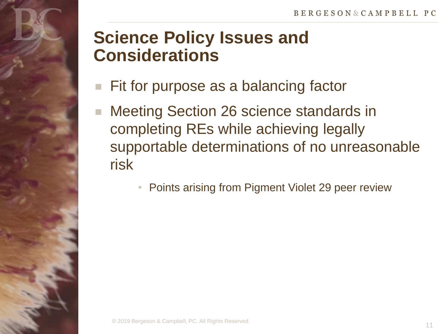### **Science Policy Issues and Considerations**

- **Fit for purpose as a balancing factor**
- Meeting Section 26 science standards in completing REs while achieving legally supportable determinations of no unreasonable risk
	- Points arising from Pigment Violet 29 peer review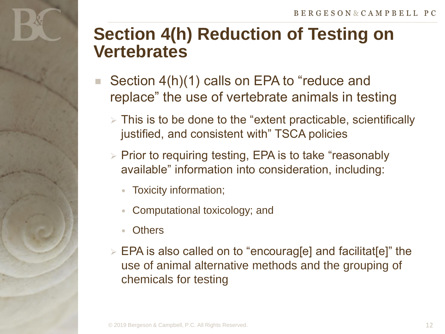### **Section 4(h) Reduction of Testing on Vertebrates**

- Section 4(h)(1) calls on EPA to "reduce and replace" the use of vertebrate animals in testing
	- $\triangleright$  This is to be done to the "extent practicable, scientifically justified, and consistent with" TSCA policies
	- $\triangleright$  Prior to requiring testing, EPA is to take "reasonably available" information into consideration, including:
		- Toxicity information;
		- Computational toxicology; and
		- **Others**
	- $\triangleright$  EPA is also called on to "encourag[e] and facilitat[e]" the use of animal alternative methods and the grouping of chemicals for testing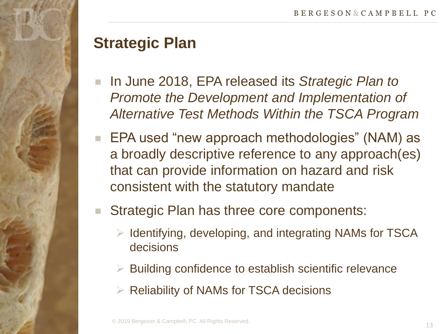

#### **Strategic Plan**

- In June 2018, EPA released its *Strategic Plan to Promote the Development and Implementation of Alternative Test Methods Within the TSCA Program*
- EPA used "new approach methodologies" (NAM) as a broadly descriptive reference to any approach(es) that can provide information on hazard and risk consistent with the statutory mandate
- Strategic Plan has three core components:
	- $\triangleright$  Identifying, developing, and integrating NAMs for TSCA decisions
	- $\triangleright$  Building confidence to establish scientific relevance
	- $\triangleright$  Reliability of NAMs for TSCA decisions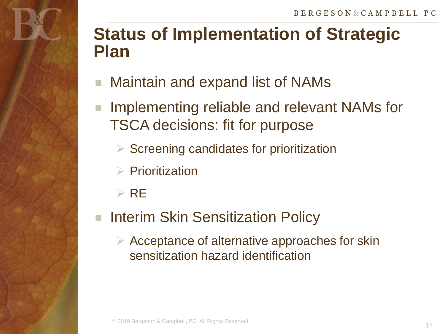### **Status of Implementation of Strategic Plan**

- Maintain and expand list of NAMs
- Implementing reliable and relevant NAMs for TSCA decisions: fit for purpose
	- $\triangleright$  Screening candidates for prioritization
	- $\triangleright$  Prioritization
	- $\triangleright$  RE
- Interim Skin Sensitization Policy
	- $\triangleright$  Acceptance of alternative approaches for skin sensitization hazard identification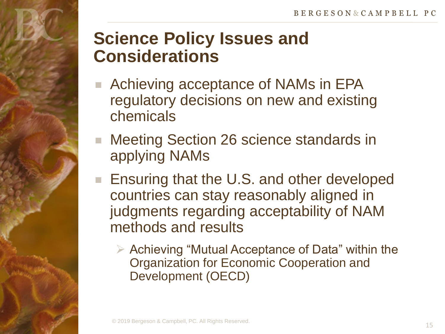### **Science Policy Issues and Considerations**

- Achieving acceptance of NAMs in EPA regulatory decisions on new and existing chemicals
- Meeting Section 26 science standards in applying NAMs
- Ensuring that the U.S. and other developed countries can stay reasonably aligned in judgments regarding acceptability of NAM methods and results
	- $\triangleright$  Achieving "Mutual Acceptance of Data" within the Organization for Economic Cooperation and Development (OECD)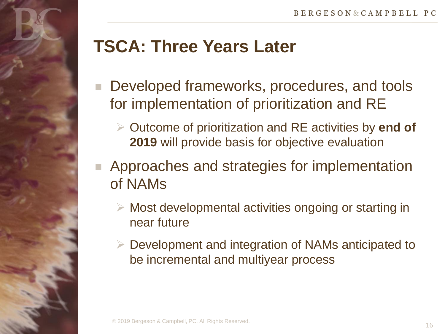## **TSCA: Three Years Later**

- Developed frameworks, procedures, and tools for implementation of prioritization and RE
	- Outcome of prioritization and RE activities by **end of 2019** will provide basis for objective evaluation
- **Approaches and strategies for implementation** of NAMs
	- $\triangleright$  Most developmental activities ongoing or starting in near future
	- Development and integration of NAMs anticipated to be incremental and multiyear process